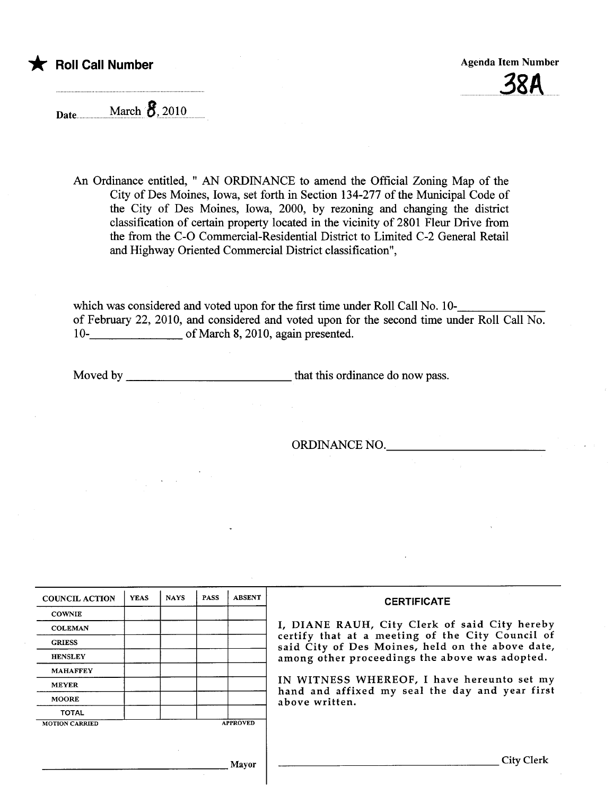t Roll Call Number Agenda Item Number Agenda Item Number

 $38A$ 

Date March  $\overline{8}$ , 2010

An Ordinance entitled, " AN ORDINANCE to amend the Official Zoning Map of the City of Des Moines, Iowa, set forth in Section 134-277 of the Muncipal Code of the City of Des Moines, Iowa, 2000, by rezoning and changing the district classification of certain property located in the vicinity of 2801 Fleur Drive from the from the C-O Commercial-Residential District to Limited C-2 General Retail and Highway Oriented Commercial District classification",

which was considered and voted upon for the first time under Roll Call No. 10 of February 22, 2010, and considered and voted upon for the second time under Roll Call No. 10- of March 8, 2010, again presented.

Moved by that this ordinance do now pass.

ORDINANCE NO.

| <b>COUNCIL ACTION</b> | <b>YEAS</b> | <b>NAYS</b> | <b>PASS</b> | <b>ABSENT</b>   | <b>CERTIFICATE</b>                                                                                                                                                                                                                                                                                                         |
|-----------------------|-------------|-------------|-------------|-----------------|----------------------------------------------------------------------------------------------------------------------------------------------------------------------------------------------------------------------------------------------------------------------------------------------------------------------------|
| <b>COWNIE</b>         |             |             |             |                 | I, DIANE RAUH, City Clerk of said City hereby<br>certify that at a meeting of the City Council of<br>said City of Des Moines, held on the above date,<br>among other proceedings the above was adopted.<br>IN WITNESS WHEREOF, I have hereunto set my<br>hand and affixed my seal the day and year first<br>above written. |
| <b>COLEMAN</b>        |             |             |             |                 |                                                                                                                                                                                                                                                                                                                            |
| <b>GRIESS</b>         |             |             |             |                 |                                                                                                                                                                                                                                                                                                                            |
| <b>HENSLEY</b>        |             |             |             |                 |                                                                                                                                                                                                                                                                                                                            |
| <b>MAHAFFEY</b>       |             |             |             |                 |                                                                                                                                                                                                                                                                                                                            |
| <b>MEYER</b>          |             |             |             |                 |                                                                                                                                                                                                                                                                                                                            |
| <b>MOORE</b>          |             |             |             |                 |                                                                                                                                                                                                                                                                                                                            |
| <b>TOTAL</b>          |             |             |             |                 |                                                                                                                                                                                                                                                                                                                            |
| <b>MOTION CARRIED</b> |             |             |             | <b>APPROVED</b> |                                                                                                                                                                                                                                                                                                                            |
|                       |             |             |             |                 |                                                                                                                                                                                                                                                                                                                            |
| Mayor                 |             |             |             |                 | City Clerk                                                                                                                                                                                                                                                                                                                 |